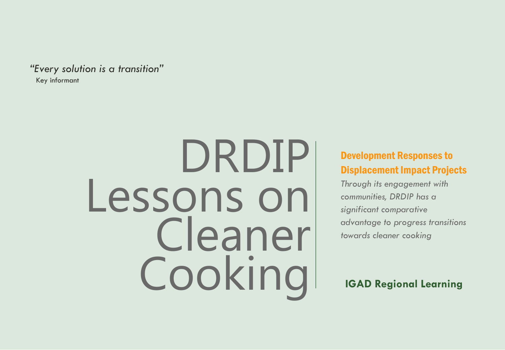*"Every solution is a transition"* Key informant

# DRDIP Lessons on Cleaner Cooking **IGAD Regional Learning**

#### Development Responses to Displacement Impact Projects

*Through its engagement with communities, DRDIP has a significant comparative advantage to progress transitions towards cleaner cooking*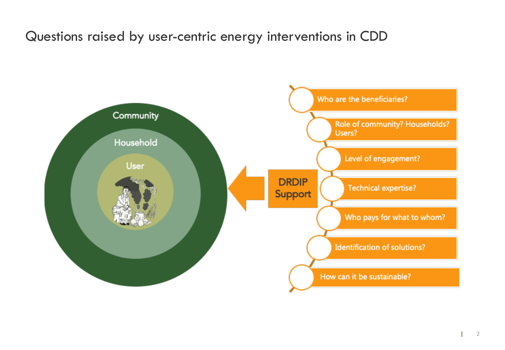#### Questions raised by user-centric energy interventions in CDD

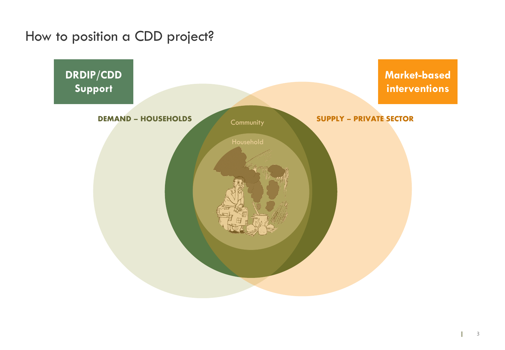#### How to position a CDD project?

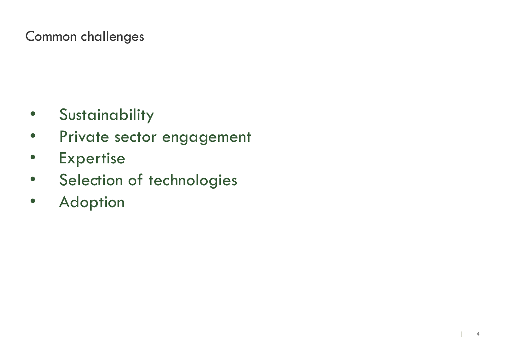# Common challenges

- Sustainability
- Private sector engagement
- Expertise
- Selection of technologies
- Adoption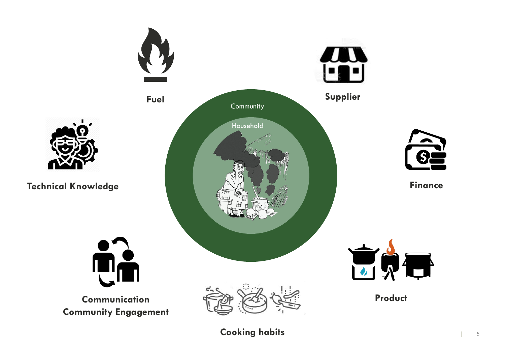

**Cooking habits Cooking habits**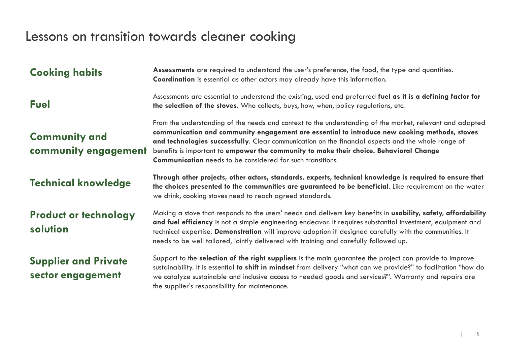# Lessons on transition towards cleaner cooking

| <b>Cooking habits</b>                            | Assessments are required to understand the user's preference, the food, the type and quantities.<br>Coordination is essential as other actors may already have this information.                                                                                                                                                                                                                                                                                               |  |  |  |
|--------------------------------------------------|--------------------------------------------------------------------------------------------------------------------------------------------------------------------------------------------------------------------------------------------------------------------------------------------------------------------------------------------------------------------------------------------------------------------------------------------------------------------------------|--|--|--|
| <b>Fuel</b>                                      | Assessments are essential to understand the existing, used and preferred fuel as it is a defining factor for<br>the selection of the stoves. Who collects, buys, how, when, policy regulations, etc.                                                                                                                                                                                                                                                                           |  |  |  |
| <b>Community and</b><br>community engagement     | From the understanding of the needs and context to the understanding of the market, relevant and adapted<br>communication and community engagement are essential to introduce new cooking methods, stoves<br>and technologies successfully. Clear communication on the financial aspects and the whole range of<br>benefits is important to empower the community to make their choice. Behavioral Change<br><b>Communication</b> needs to be considered for such transitions. |  |  |  |
| <b>Technical knowledge</b>                       | Through other projects, other actors, standards, experts, technical knowledge is required to ensure that<br>the choices presented to the communities are guaranteed to be beneficial. Like requirement on the water<br>we drink, cooking stoves need to reach agreed standards.                                                                                                                                                                                                |  |  |  |
| <b>Product or technology</b><br>solution         | Making a stove that responds to the users' needs and delivers key benefits in <b>usability, safety, affordability</b><br>and fuel efficiency is not a simple engineering endeavor. It requires substantial investment, equipment and<br>technical expertise. Demonstration will improve adoption if designed carefully with the communities. It<br>needs to be well tailored, jointly delivered with training and carefully followed up.                                       |  |  |  |
| <b>Supplier and Private</b><br>sector engagement | Support to the selection of the right suppliers is the main guarantee the project can provide to improve<br>sustainability. It is essential to shift in mindset from delivery "what can we provide?" to facilitation "how do<br>we catalyze sustainable and inclusive access to needed goods and services?". Warranty and repairs are<br>the supplier's responsibility for maintenance.                                                                                        |  |  |  |

 $\mathbb{R}$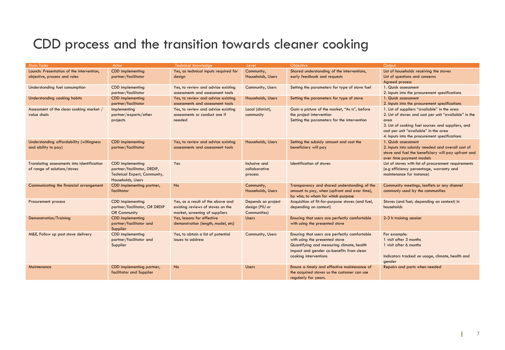### CDD process and the transition towards cleaner cooking

| <b>Main Tasks</b>                           | Actor                         | <b>Technical knowledge</b>            | Level              | <b>Objective</b>                                 | Output                                                 |
|---------------------------------------------|-------------------------------|---------------------------------------|--------------------|--------------------------------------------------|--------------------------------------------------------|
| Launch: Presentation of the intervention,   | <b>CDD</b> implementing       | Yes, as technical inputs required for | Community,         | Shared understanding of the interventions,       | List of households receiving the stoves                |
| objective, process and roles                | partner/facilitator           | design                                | Households, Users  | early feedback and requests                      | List of questions and concerns                         |
|                                             |                               |                                       |                    |                                                  | Agreed process                                         |
| Understanding fuel consumption              | <b>CDD</b> implementing       | Yes, to review and advice existing    | Community, Users   | Setting the parameters for type of stove fuel    | 1. Quick assessment                                    |
|                                             | partner/facilitator           | assessments and assessment tools      |                    |                                                  | 2. Inputs into the procurement specifications          |
| Understanding cooking habits                | <b>CDD</b> implementing       | Yes, to review and advice existing    | Households, Users  | Setting the parameters for type of stove         | 1. Quick assessment                                    |
|                                             | partner/facilitator           | assessments and assessment tools      |                    |                                                  | 2. Inputs into the procurement specifications          |
| Assessment of the clean cooking market /    | Implementing                  | Yes, to review and advice existing    | Local (district),  | Gain a picture of the market, "As is", before    | 1. List of suppliers "available" in the area           |
| value chain                                 | partner/experts/other         | assessments or conduct one if         | community          | the project intervention                         | 2. List of stoves and cost per unit "available" in the |
|                                             | projects                      | needed                                |                    | Setting the parameters for the intervention      | area                                                   |
|                                             |                               |                                       |                    |                                                  | 3. List of cooking fuel sources and suppliers, and     |
|                                             |                               |                                       |                    |                                                  | cost per unit "available" in the area                  |
|                                             |                               |                                       |                    |                                                  | 4. Inputs into the procurement specifications          |
| Understanding affordability (willingness)   | <b>CDD</b> implementing       | Yes, to review and advice existing    | Households, Users  | Setting the subsidy amount and cost the          | 1. Quick assessment                                    |
| and ability to pay)                         | partner/facilitator           | assessments and assessment tools      |                    | beneficiary will pay                             | 2. Inputs into subsidy needed and overall cost of      |
|                                             |                               |                                       |                    |                                                  | stove and fuel the beneficiary will pay upfront and    |
|                                             |                               |                                       |                    |                                                  | over time payment models                               |
| Translating assessments into identification | <b>CDD</b> implementing       | Yes                                   | Inclusive and      | Identification of stoves                         | List of stoves with list of procurement requirements   |
| of range of solutions/stoves                | partner/facilitator, DRDIP,   |                                       | collaborative      |                                                  | (e.g efficiency percentage, warranty and               |
|                                             | Technical Expert, Community,  |                                       | process            |                                                  | maintenance for instance)                              |
|                                             | Households, Users             |                                       |                    |                                                  |                                                        |
| Communicating the financial arrangement     | CDD implementing partner,     | No                                    | Community,         | Transparency and shared understanding of the     | Community meetings, leaflets or any channel            |
|                                             | facilitator                   |                                       | Households, Users  | amount to pay, when (upfront and over time),     | commonly used by the communities                       |
|                                             |                               |                                       |                    | by who, to whom for which purpose                |                                                        |
| Procurement process                         | <b>CDD</b> implementing       | Yes, as a result of the above and     | Depends on project | Acquisition of fit-for-purpose stoves (and fuel, | Stoves (and fuel, depending on context) in             |
|                                             | partner/facilitator, OR DRDIP | existing reviews of stoves on the     | design (PIU or     | depending on context)                            | households                                             |
|                                             | OR Community                  | market, screening of suppliers        | Communities)       |                                                  |                                                        |
| Demonstration/Training                      | <b>CDD</b> implementing       | Yes, lessons for effective            | <b>Users</b>       | Ensuring that users are perfectly comfortable    | 2-3 h training session                                 |
|                                             | partner/facilitator and       | demonstration (length, model, etc)    |                    | with using the presented stove                   |                                                        |
|                                             | Supplier                      |                                       |                    |                                                  |                                                        |
| M&E, Follow up post stove delivery          | <b>CDD</b> implementing       | Yes, to obtain a list of potential    | Community, Users   | Ensuring that users are perfectly comfortable    | For example:                                           |
|                                             | partner/facilitator and       | issues to address                     |                    | with using the presented stove                   | 1 visit after 3 months                                 |
|                                             | Supplier                      |                                       |                    | Quantifying and measuring climate, health        | 1 visit after 6 months                                 |
|                                             |                               |                                       |                    | impact and gender co-benefits from clean         |                                                        |
|                                             |                               |                                       |                    | cooking interventions                            | Indicators tracked on usage, climate, health and       |
|                                             |                               |                                       |                    |                                                  | gender                                                 |
| Maintenance                                 | CDD implementing partner,     | <b>No</b>                             | <b>Users</b>       | Ensure a timely and effective maintenance of     | Repairs and parts when needed                          |
|                                             | facilitator and Supplier      |                                       |                    | the acquired stoves so the customer can use      |                                                        |
|                                             |                               |                                       |                    | regularly for years.                             |                                                        |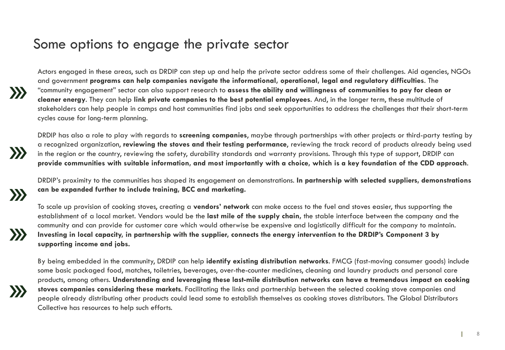#### Some options to engage the private sector

Actors engaged in these areas, such as DRDIP can step up and help the private sector address some of their challenges. Aid agencies, NGOs and government **programs can help companies navigate the informational, operational, legal and regulatory difficulties**. The "community engagement" sector can also support research to **assess the ability and willingness of communities to pay for clean or cleaner energy**. They can help **link private companies to the best potential employees**. And, in the longer term, these multitude of stakeholders can help people in camps and host communities find jobs and seek opportunities to address the challenges that their short-term cycles cause for long-term planning.

DRDIP has also a role to play with regards to **screening companies**, maybe through partnerships with other projects or third-party testing by a recognized organization, **reviewing the stoves and their testing performance**, reviewing the track record of products already being used in the region or the country, reviewing the safety, durability standards and warranty provisions. Through this type of support, DRDIP can **provide communities with suitable information, and most importantly with a choice, which is a key foundation of the CDD approach**.

DRDIP's proximity to the communities has shaped its engagement on demonstrations. **In partnership with selected suppliers, demonstrations can be expanded further to include training, BCC and marketing.**

 $\gg$ 

 $\gg$ 

 $\sum$ 

 $\sum$ 

To scale up provision of cooking stoves, creating a **vendors' network** can make access to the fuel and stoves easier, thus supporting the establishment of a local market. Vendors would be the **last mile of the supply chain,** the stable interface between the company and the community and can provide for customer care which would otherwise be expensive and logistically difficult for the company to maintain. **Investing in local capacity, in partnership with the supplier, connects the energy intervention to the DRDIP's Component 3 by supporting income and jobs.**

By being embedded in the community, DRDIP can help **identify existing distribution networks**. FMCG (fast-moving consumer goods) include some basic packaged food, matches, toiletries, beverages, over-the-counter medicines, cleaning and laundry products and personal care products, among others. **Understanding and leveraging these last-mile distribution networks can have a tremendous impact on cooking stoves companies considering these markets**. Facilitating the links and partnership between the selected cooking stove companies and people already distributing other products could lead some to establish themselves as cooking stoves distributors. The Global Distributors Collective has resources to help such efforts.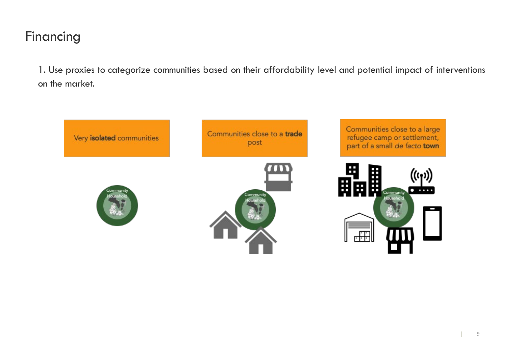#### Financing

1. Use proxies to categorize communities based on their affordability level and potential impact of interventions on the market.